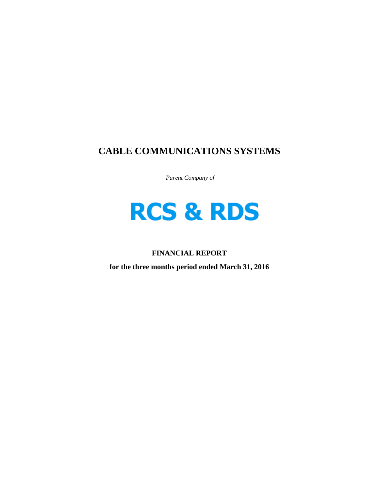# **CABLE COMMUNICATIONS SYSTEMS**

 *Parent Company of* 

# **RCS & RDS**

# **FINANCIAL REPORT**

**for the three months period ended March 31, 2016**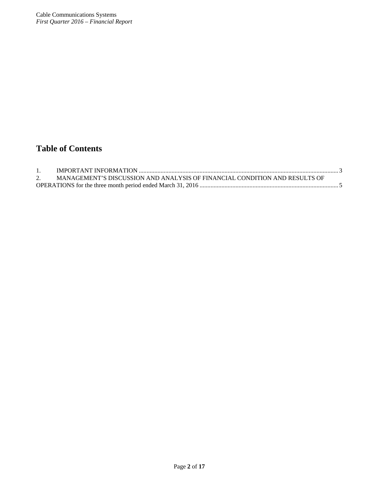# **Table of Contents**

| MANAGEMENT'S DISCUSSION AND ANALYSIS OF FINANCIAL CONDITION AND RESULTS OF |  |
|----------------------------------------------------------------------------|--|
|                                                                            |  |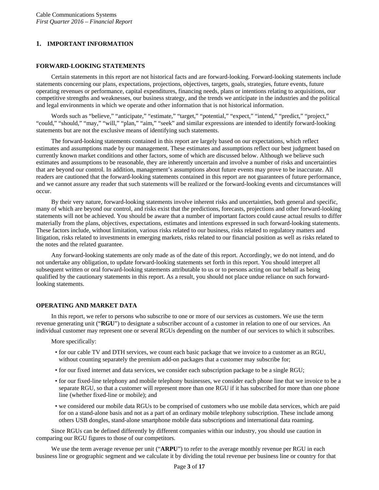# **1. IMPORTANT INFORMATION**

# **FORWARD-LOOKING STATEMENTS**

Certain statements in this report are not historical facts and are forward-looking. Forward-looking statements include statements concerning our plans, expectations, projections, objectives, targets, goals, strategies, future events, future operating revenues or performance, capital expenditures, financing needs, plans or intentions relating to acquisitions, our competitive strengths and weaknesses, our business strategy, and the trends we anticipate in the industries and the political and legal environments in which we operate and other information that is not historical information.

Words such as "believe," "anticipate," "estimate," "target," "potential," "expect," "intend," "predict," "project," "could," "should," "may," "will," "plan," "aim," "seek" and similar expressions are intended to identify forward-looking statements but are not the exclusive means of identifying such statements.

The forward-looking statements contained in this report are largely based on our expectations, which reflect estimates and assumptions made by our management. These estimates and assumptions reflect our best judgment based on currently known market conditions and other factors, some of which are discussed below. Although we believe such estimates and assumptions to be reasonable, they are inherently uncertain and involve a number of risks and uncertainties that are beyond our control. In addition, management's assumptions about future events may prove to be inaccurate. All readers are cautioned that the forward-looking statements contained in this report are not guarantees of future performance, and we cannot assure any reader that such statements will be realized or the forward-looking events and circumstances will occur.

By their very nature, forward-looking statements involve inherent risks and uncertainties, both general and specific, many of which are beyond our control, and risks exist that the predictions, forecasts, projections and other forward-looking statements will not be achieved. You should be aware that a number of important factors could cause actual results to differ materially from the plans, objectives, expectations, estimates and intentions expressed in such forward-looking statements. These factors include, without limitation, various risks related to our business, risks related to regulatory matters and litigation, risks related to investments in emerging markets, risks related to our financial position as well as risks related to the notes and the related guarantee.

Any forward-looking statements are only made as of the date of this report. Accordingly, we do not intend, and do not undertake any obligation, to update forward-looking statements set forth in this report. You should interpret all subsequent written or oral forward-looking statements attributable to us or to persons acting on our behalf as being qualified by the cautionary statements in this report. As a result, you should not place undue reliance on such forwardlooking statements.

# **OPERATING AND MARKET DATA**

In this report, we refer to persons who subscribe to one or more of our services as customers. We use the term revenue generating unit ("**RGU**") to designate a subscriber account of a customer in relation to one of our services. An individual customer may represent one or several RGUs depending on the number of our services to which it subscribes.

More specifically:

- for our cable TV and DTH services, we count each basic package that we invoice to a customer as an RGU, without counting separately the premium add-on packages that a customer may subscribe for;
- for our fixed internet and data services, we consider each subscription package to be a single RGU;
- for our fixed-line telephony and mobile telephony businesses, we consider each phone line that we invoice to be a separate RGU, so that a customer will represent more than one RGU if it has subscribed for more than one phone line (whether fixed-line or mobile); and
- we considered our mobile data RGUs to be comprised of customers who use mobile data services, which are paid for on a stand-alone basis and not as a part of an ordinary mobile telephony subscription. These include among others USB dongles, stand-alone smartphone mobile data subscriptions and international data roaming.

Since RGUs can be defined differently by different companies within our industry, you should use caution in comparing our RGU figures to those of our competitors.

We use the term average revenue per unit ("**ARPU**") to refer to the average monthly revenue per RGU in each business line or geographic segment and we calculate it by dividing the total revenue per business line or country for that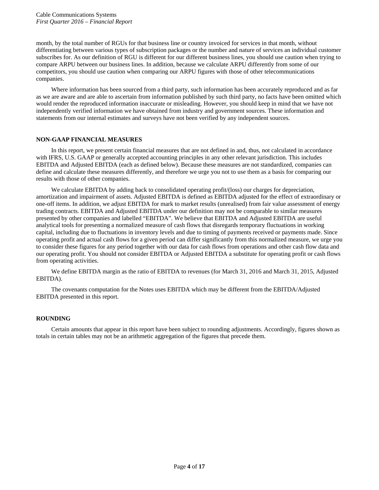month, by the total number of RGUs for that business line or country invoiced for services in that month, without differentiating between various types of subscription packages or the number and nature of services an individual customer subscribes for. As our definition of RGU is different for our different business lines, you should use caution when trying to compare ARPU between our business lines. In addition, because we calculate ARPU differently from some of our competitors, you should use caution when comparing our ARPU figures with those of other telecommunications companies.

Where information has been sourced from a third party, such information has been accurately reproduced and as far as we are aware and are able to ascertain from information published by such third party, no facts have been omitted which would render the reproduced information inaccurate or misleading. However, you should keep in mind that we have not independently verified information we have obtained from industry and government sources. These information and statements from our internal estimates and surveys have not been verified by any independent sources.

# **NON-GAAP FINANCIAL MEASURES**

In this report, we present certain financial measures that are not defined in and, thus, not calculated in accordance with IFRS, U.S. GAAP or generally accepted accounting principles in any other relevant jurisdiction. This includes EBITDA and Adjusted EBITDA (each as defined below). Because these measures are not standardized, companies can define and calculate these measures differently, and therefore we urge you not to use them as a basis for comparing our results with those of other companies.

We calculate EBITDA by adding back to consolidated operating profit/(loss) our charges for depreciation, amortization and impairment of assets. Adjusted EBITDA is defined as EBITDA adjusted for the effect of extraordinary or one-off items. In addition, we adjust EBITDA for mark to market results (unrealised) from fair value assessment of energy trading contracts. EBITDA and Adjusted EBITDA under our definition may not be comparable to similar measures presented by other companies and labelled "EBITDA". We believe that EBITDA and Adjusted EBITDA are useful analytical tools for presenting a normalized measure of cash flows that disregards temporary fluctuations in working capital, including due to fluctuations in inventory levels and due to timing of payments received or payments made. Since operating profit and actual cash flows for a given period can differ significantly from this normalized measure, we urge you to consider these figures for any period together with our data for cash flows from operations and other cash flow data and our operating profit. You should not consider EBITDA or Adjusted EBITDA a substitute for operating profit or cash flows from operating activities.

We define EBITDA margin as the ratio of EBITDA to revenues (for March 31, 2016 and March 31, 2015, Adjusted EBITDA).

The covenants computation for the Notes uses EBITDA which may be different from the EBITDA/Adjusted EBITDA presented in this report.

# **ROUNDING**

Certain amounts that appear in this report have been subject to rounding adjustments. Accordingly, figures shown as totals in certain tables may not be an arithmetic aggregation of the figures that precede them.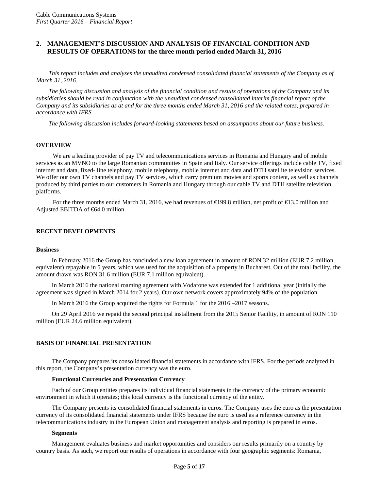# **2. MANAGEMENT'S DISCUSSION AND ANALYSIS OF FINANCIAL CONDITION AND RESULTS OF OPERATIONS for the three month period ended March 31, 2016**

*This report includes and analyses the unaudited condensed consolidated financial statements of the Company as of March 31, 2016.* 

*The following discussion and analysis of the financial condition and results of operations of the Company and its subsidiaries should be read in conjunction with the unaudited condensed consolidated interim financial report of the Company and its subsidiaries as at and for the three months ended March 31, 2016 and the related notes, prepared in accordance with IFRS.*

*The following discussion includes forward-looking statements based on assumptions about our future business.* 

#### **OVERVIEW**

We are a leading provider of pay TV and telecommunications services in Romania and Hungary and of mobile services as an MVNO to the large Romanian communities in Spain and Italy. Our service offerings include cable TV, fixed internet and data, fixed- line telephony, mobile telephony, mobile internet and data and DTH satellite television services. We offer our own TV channels and pay TV services, which carry premium movies and sports content, as well as channels produced by third parties to our customers in Romania and Hungary through our cable TV and DTH satellite television platforms.

For the three months ended March 31, 2016, we had revenues of €199.8 million, net profit of €13.0 million and Adjusted EBITDA of €64.0 million.

# **RECENT DEVELOPMENTS**

#### **Business**

In February 2016 the Group has concluded a new loan agreement in amount of RON 32 million (EUR 7.2 million equivalent) repayable in 5 years, which was used for the acquisition of a property in Bucharest. Out of the total facility, the amount drawn was RON 31.6 million (EUR 7.1 million equivalent).

In March 2016 the national roaming agreement with Vodafone was extended for 1 additional year (initially the agreement was signed in March 2014 for 2 years). Our own network covers approximately 94% of the population.

In March 2016 the Group acquired the rights for Formula 1 for the 2016 –2017 seasons.

On 29 April 2016 we repaid the second principal installment from the 2015 Senior Facility, in amount of RON 110 million (EUR 24.6 million equivalent).

#### **BASIS OF FINANCIAL PRESENTATION**

The Company prepares its consolidated financial statements in accordance with IFRS. For the periods analyzed in this report, the Company's presentation currency was the euro.

#### **Functional Currencies and Presentation Currency**

Each of our Group entities prepares its individual financial statements in the currency of the primary economic environment in which it operates; this local currency is the functional currency of the entity.

The Company presents its consolidated financial statements in euros. The Company uses the euro as the presentation currency of its consolidated financial statements under IFRS because the euro is used as a reference currency in the telecommunications industry in the European Union and management analysis and reporting is prepared in euros.

#### **Segments**

Management evaluates business and market opportunities and considers our results primarily on a country by country basis. As such, we report our results of operations in accordance with four geographic segments: Romania,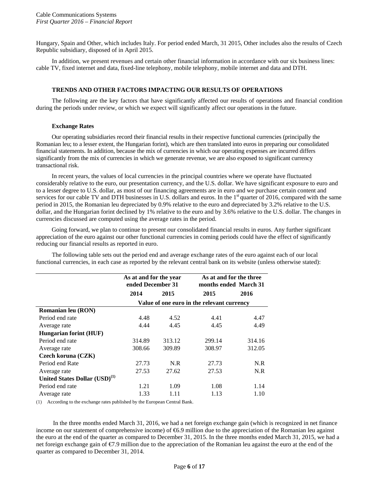Hungary, Spain and Other, which includes Italy. For period ended March, 31 2015, Other includes also the results of Czech Republic subsidiary, disposed of in April 2015.

In addition, we present revenues and certain other financial information in accordance with our six business lines: cable TV, fixed internet and data, fixed-line telephony, mobile telephony, mobile internet and data and DTH.

#### **TRENDS AND OTHER FACTORS IMPACTING OUR RESULTS OF OPERATIONS**

The following are the key factors that have significantly affected our results of operations and financial condition during the periods under review, or which we expect will significantly affect our operations in the future.

## **Exchange Rates**

Our operating subsidiaries record their financial results in their respective functional currencies (principally the Romanian leu; to a lesser extent, the Hungarian forint), which are then translated into euros in preparing our consolidated financial statements. In addition, because the mix of currencies in which our operating expenses are incurred differs significantly from the mix of currencies in which we generate revenue, we are also exposed to significant currency transactional risk.

In recent years, the values of local currencies in the principal countries where we operate have fluctuated considerably relative to the euro, our presentation currency, and the U.S. dollar. We have significant exposure to euro and to a lesser degree to U.S. dollar, as most of our financing agreements are in euro and we purchase certain content and services for our cable TV and DTH businesses in U.S. dollars and euros. In the  $1<sup>st</sup>$  quarter of 2016, compared with the same period in 2015, the Romanian leu depreciated by 0.9% relative to the euro and depreciated by 3.2% relative to the U.S. dollar, and the Hungarian forint declined by 1% relative to the euro and by 3.6% relative to the U.S. dollar. The changes in currencies discussed are computed using the average rates in the period.

Going forward, we plan to continue to present our consolidated financial results in euros. Any further significant appreciation of the euro against our other functional currencies in coming periods could have the effect of significantly reducing our financial results as reported in euro.

The following table sets out the period end and average exchange rates of the euro against each of our local functional currencies, in each case as reported by the relevant central bank on its website (unless otherwise stated):

|                                           | As at and for the year<br>ended December 31 |        | As at and for the three<br>months ended March 31 |        |  |
|-------------------------------------------|---------------------------------------------|--------|--------------------------------------------------|--------|--|
|                                           | 2014                                        | 2015   | 2015                                             | 2016   |  |
|                                           |                                             |        | Value of one euro in the relevant currency       |        |  |
| <b>Romanian leu (RON)</b>                 |                                             |        |                                                  |        |  |
| Period end rate                           | 4.48                                        | 4.52   | 4.41                                             | 4.47   |  |
| Average rate                              | 4.44                                        | 4.45   | 4.45                                             | 4.49   |  |
| <b>Hungarian forint (HUF)</b>             |                                             |        |                                                  |        |  |
| Period end rate                           | 314.89                                      | 313.12 | 299.14                                           | 314.16 |  |
| Average rate                              | 308.66                                      | 309.89 | 308.97                                           | 312.05 |  |
| Czech koruna (CZK)                        |                                             |        |                                                  |        |  |
| Period end Rate                           | 27.73                                       | N.R    | 27.73                                            | N.R    |  |
| Average rate                              | 27.53                                       | 27.62  | 27.53                                            | N.R    |  |
| United States Dollar (USD) <sup>(1)</sup> |                                             |        |                                                  |        |  |
| Period end rate                           | 1.21                                        | 1.09   | 1.08                                             | 1.14   |  |
| Average rate                              | 1.33                                        | 1.11   | 1.13                                             | 1.10   |  |

(1) According to the exchange rates published by the European Central Bank.

In the three months ended March 31, 2016, we had a net foreign exchange gain (which is recognized in net finance income on our statement of comprehensive income) of  $6.9$  million due to the appreciation of the Romanian leu against the euro at the end of the quarter as compared to December 31, 2015. In the three months ended March 31, 2015, we had a net foreign exchange gain of €7.9 million due to the appreciation of the Romanian leu against the euro at the end of the quarter as compared to December 31, 2014.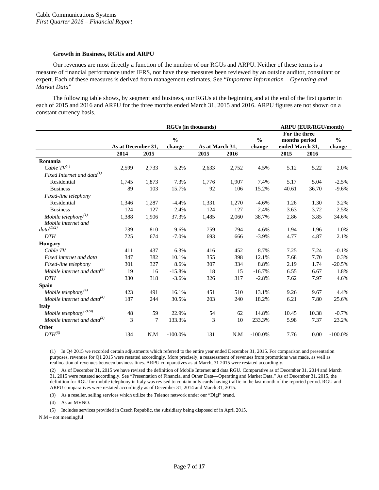#### **Growth in Business, RGUs and ARPU**

Our revenues are most directly a function of the number of our RGUs and ARPU. Neither of these terms is a measure of financial performance under IFRS, nor have these measures been reviewed by an outside auditor, consultant or expert. Each of these measures is derived from management estimates. See "*Important Information – Operating and Market Data*"

The following table shows, by segment and business, our RGUs at the beginning and at the end of the first quarter in each of 2015 and 2016 and ARPU for the three months ended March 31, 2015 and 2016. ARPU figures are not shown on a constant currency basis.

|                                           | <b>RGUs (in thousands)</b> |       |               |                 |       | <b>ARPU (EUR/RGU/month)</b> |                 |       |               |
|-------------------------------------------|----------------------------|-------|---------------|-----------------|-------|-----------------------------|-----------------|-------|---------------|
|                                           |                            |       |               |                 |       |                             | For the three   |       |               |
|                                           |                            |       | $\frac{0}{0}$ |                 |       | $\frac{0}{0}$               | months period   |       | $\frac{0}{0}$ |
|                                           | As at December 31,         |       | change        | As at March 31, |       | change                      | ended March 31, |       | change        |
|                                           | 2014                       | 2015  |               | 2015            | 2016  |                             | 2015            | 2016  |               |
| Romania                                   |                            |       |               |                 |       |                             |                 |       |               |
| Cable $TV^{(1)}$                          | 2,599                      | 2,733 | 5.2%          | 2,633           | 2,752 | 4.5%                        | 5.12            | 5.22  | 2.0%          |
| Fixed Internet and data <sup>(1)</sup>    |                            |       |               |                 |       |                             |                 |       |               |
| Residential                               | 1,745                      | 1,873 | 7.3%          | 1,776           | 1,907 | 7.4%                        | 5.17            | 5.04  | $-2.5%$       |
| <b>Business</b>                           | 89                         | 103   | 15.7%         | 92              | 106   | 15.2%                       | 40.61           | 36.70 | $-9.6%$       |
| Fixed-line telephony                      |                            |       |               |                 |       |                             |                 |       |               |
| Residential                               | 1,346                      | 1,287 | $-4.4%$       | 1,331           | 1,270 | $-4.6%$                     | 1.26            | 1.30  | 3.2%          |
| <b>Business</b>                           | 124                        | 127   | 2.4%          | 124             | 127   | 2.4%                        | 3.63            | 3.72  | 2.5%          |
| Mobile telephony $(1)$                    | 1,388                      | 1,906 | 37.3%         | 1,485           | 2,060 | 38.7%                       | 2.86            | 3.85  | 34.6%         |
| Mobile internet and                       |                            |       |               |                 |       |                             |                 |       |               |
| $data^{\left( 1\right) \left( 2\right) }$ | 739                        | 810   | 9.6%          | 759             | 794   | 4.6%                        | 1.94            | 1.96  | 1.0%          |
| <b>DTH</b>                                | 725                        | 674   | $-7.0%$       | 693             | 666   | $-3.9%$                     | 4.77            | 4.87  | 2.1%          |
| <b>Hungary</b>                            |                            |       |               |                 |       |                             |                 |       |               |
| Cable TV                                  | 411                        | 437   | 6.3%          | 416             | 452   | 8.7%                        | 7.25            | 7.24  | $-0.1%$       |
| Fixed internet and data                   | 347                        | 382   | 10.1%         | 355             | 398   | 12.1%                       | 7.68            | 7.70  | 0.3%          |
| Fixed-line telephony                      | 301                        | 327   | 8.6%          | 307             | 334   | 8.8%                        | 2.19            | 1.74  | $-20.5%$      |
| Mobile internet and data $^{(3)}$         | 19                         | 16    | $-15.8%$      | 18              | 15    | $-16.7%$                    | 6.55            | 6.67  | 1.8%          |
| <b>DTH</b>                                | 330                        | 318   | $-3.6%$       | 326             | 317   | $-2.8%$                     | 7.62            | 7.97  | 4.6%          |
| Spain                                     |                            |       |               |                 |       |                             |                 |       |               |
| Mobile telephony $(4)$                    | 423                        | 491   | 16.1%         | 451             | 510   | 13.1%                       | 9.26            | 9.67  | 4.4%          |
| Mobile internet and data <sup>(4)</sup>   | 187                        | 244   | 30.5%         | 203             | 240   | 18.2%                       | 6.21            | 7.80  | 25.6%         |
| <b>Italy</b>                              |                            |       |               |                 |       |                             |                 |       |               |
| Mobile telephony <sup>(2)(4)</sup>        | 48                         | 59    | 22.9%         | 54              | 62    | 14.8%                       | 10.45           | 10.38 | $-0.7%$       |
| Mobile internet and data $^{(4)}$         | 3                          | 7     | 133.3%        | 3               | 10    | 233.3%                      | 5.98            | 7.37  | 23.2%         |
| Other                                     |                            |       |               |                 |       |                             |                 |       |               |
| $DTH^{(5)}$                               | 134                        | N.M   | $-100.0\%$    | 131             | N.M   | $-100.0\%$                  | 7.76            | 0.00  | $-100.0\%$    |
|                                           |                            |       |               |                 |       |                             |                 |       |               |

(1) In Q4 2015 we recorded certain adjustments which referred to the entire year ended December 31, 2015. For comparison and presentation purposes, revenues for Q1 2015 were restated accordingly. More precisely, a reassessment of revenues from promotions was made, as well as reallocation of revenues between business lines. ARPU comparatives as at March, 31 2015 were restated accordingly.

(2) As of December 31, 2015 we have revised the definition of Mobile Internet and data RGU. Comparative as of December 31, 2014 and March 31, 2015 were restated accordingly. See "Presentation of Financial and Other Data—Operating and Market Data." As of December 31, 2015, the definition for RGU for mobile telephony in Italy was revised to contain only cards having traffic in the last month of the reported period. RGU and ARPU comparatives were restated accordingly as of December 31, 2014 and March 31, 2015.

(3) As a reseller, selling services which utilize the Telenor network under our "Digi" brand.

(4) As an MVNO.

(5) Includes services provided in Czech Republic, the subsidiary being disposed of in April 2015.

N.M – not meaningful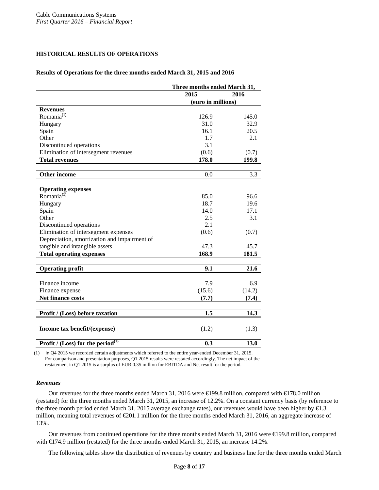# **HISTORICAL RESULTS OF OPERATIONS**

#### **Results of Operations for the three months ended March 31, 2015 and 2016**

|                                                      | Three months ended March 31, |        |  |
|------------------------------------------------------|------------------------------|--------|--|
|                                                      | 2015<br>2016                 |        |  |
|                                                      | (euro in millions)           |        |  |
| <b>Revenues</b>                                      |                              |        |  |
| Romania <sup>(1)</sup>                               | 126.9                        | 145.0  |  |
| Hungary                                              | 31.0                         | 32.9   |  |
| Spain                                                | 16.1                         | 20.5   |  |
| Other                                                | 1.7                          | 2.1    |  |
| Discontinued operations                              | 3.1                          |        |  |
| Elimination of intersegment revenues                 | (0.6)                        | (0.7)  |  |
| <b>Total revenues</b>                                | 178.0                        | 199.8  |  |
|                                                      |                              |        |  |
| <b>Other income</b>                                  | 0.0                          | 3.3    |  |
|                                                      |                              |        |  |
| <b>Operating expenses</b>                            |                              |        |  |
| $Romania^{(1)}$                                      | 85.0                         | 96.6   |  |
| Hungary                                              | 18.7                         | 19.6   |  |
| Spain                                                | 14.0                         | 17.1   |  |
| Other                                                | 2.5                          | 3.1    |  |
| Discontinued operations                              | 2.1                          |        |  |
| Elimination of intersegment expenses                 | (0.6)                        | (0.7)  |  |
| Depreciation, amortization and impairment of         |                              |        |  |
| tangible and intangible assets                       | 47.3                         | 45.7   |  |
| <b>Total operating expenses</b>                      | 168.9                        | 181.5  |  |
|                                                      |                              |        |  |
| <b>Operating profit</b>                              | 9.1                          | 21.6   |  |
|                                                      |                              |        |  |
| Finance income                                       | 7.9                          | 6.9    |  |
| Finance expense                                      | (15.6)                       | (14.2) |  |
| <b>Net finance costs</b>                             | (7.7)                        | (7.4)  |  |
|                                                      |                              |        |  |
| Profit / (Loss) before taxation                      | 1.5                          | 14.3   |  |
| Income tax benefit/(expense)                         | (1.2)                        | (1.3)  |  |
| <b>Profit / (Loss)</b> for the period <sup>(1)</sup> | 0.3                          | 13.0   |  |

(1) In Q4 2015 we recorded certain adjustments which referred to the entire year-ended December 31, 2015. For comparison and presentation purposes, Q1 2015 results were restated accordingly. The net impact of the restatement in Q1 2015 is a surplus of EUR 0.35 million for EBITDA and Net result for the period.

#### *Revenues*

Our revenues for the three months ended March 31, 2016 were €199.8 million, compared with €178.0 million (restated) for the three months ended March 31, 2015, an increase of 12.2%. On a constant currency basis (by reference to the three month period ended March 31, 2015 average exchange rates), our revenues would have been higher by €1.3 million, meaning total revenues of  $\epsilon 201.1$  million for the three months ended March 31, 2016, an aggregate increase of 13%.

Our revenues from continued operations for the three months ended March 31, 2016 were €199.8 million, compared with €174.9 million (restated) for the three months ended March 31, 2015, an increase 14.2%.

The following tables show the distribution of revenues by country and business line for the three months ended March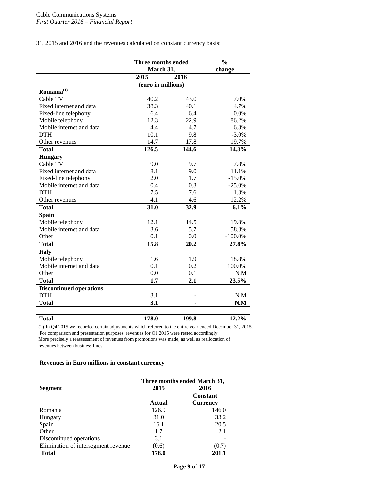31, 2015 and 2016 and the revenues calculated on constant currency basis:

|                                | Three months ended | $\frac{0}{0}$ |            |
|--------------------------------|--------------------|---------------|------------|
|                                |                    | March 31,     |            |
|                                | 2015               | 2016          |            |
|                                | (euro in millions) |               |            |
| Romania <sup>(1)</sup>         |                    |               |            |
| Cable TV                       | 40.2               | 43.0          | 7.0%       |
| Fixed internet and data        | 38.3               | 40.1          | 4.7%       |
| Fixed-line telephony           | 6.4                | 6.4           | 0.0%       |
| Mobile telephony               | 12.3               | 22.9          | 86.2%      |
| Mobile internet and data       | 4.4                | 4.7           | 6.8%       |
| <b>DTH</b>                     | 10.1               | 9.8           | $-3.0\%$   |
| Other revenues                 | 14.7               | 17.8          | 19.7%      |
| <b>Total</b>                   | 126.5              | 144.6         | 14.3%      |
| <b>Hungary</b>                 |                    |               |            |
| Cable TV                       | 9.0                | 9.7           | 7.8%       |
| Fixed internet and data        | 8.1                | 9.0           | 11.1%      |
| Fixed-line telephony           | 2.0                | 1.7           | $-15.0%$   |
| Mobile internet and data       | 0.4                | 0.3           | $-25.0%$   |
| <b>DTH</b>                     | 7.5                | 7.6           | 1.3%       |
| Other revenues                 | 4.1                | 4.6           | 12.2%      |
| <b>Total</b>                   | 31.0               | 32.9          | 6.1%       |
| <b>Spain</b>                   |                    |               |            |
| Mobile telephony               | 12.1               | 14.5          | 19.8%      |
| Mobile internet and data       | 3.6                | 5.7           | 58.3%      |
| Other                          | 0.1                | 0.0           | $-100.0\%$ |
| <b>Total</b>                   | 15.8               | 20.2          | 27.8%      |
| <b>Italy</b>                   |                    |               |            |
| Mobile telephony               | 1.6                | 1.9           | 18.8%      |
| Mobile internet and data       | 0.1                | 0.2           | 100.0%     |
| Other                          | 0.0                | 0.1           | N.M        |
| <b>Total</b>                   | 1.7                | 2.1           | 23.5%      |
| <b>Discontinued operations</b> |                    |               |            |
| <b>DTH</b>                     | 3.1                |               | N.M        |
| <b>Total</b>                   | 3.1                |               | N.M        |
|                                |                    |               |            |
| <b>Total</b>                   | 178.0              | 199.8         | 12.2%      |

(1) In Q4 2015 we recorded certain adjustments which referred to the entire year ended December 31, 2015. For comparison and presentation purposes, revenues for Q1 2015 were rested accordingly.

More precisely a reassessment of revenues from promotions was made, as well as reallocation of revenues between business lines.

## **Revenues in Euro millions in constant currency**

|                                     | Three months ended March 31, |                 |  |  |
|-------------------------------------|------------------------------|-----------------|--|--|
| <b>Segment</b>                      | 2015                         | 2016            |  |  |
|                                     |                              | <b>Constant</b> |  |  |
|                                     | Actual                       | <b>Currency</b> |  |  |
| Romania                             | 126.9                        | 146.0           |  |  |
| Hungary                             | 31.0                         | 33.2            |  |  |
| Spain                               | 16.1                         | 20.5            |  |  |
| Other                               | 1.7                          | 2.1             |  |  |
| Discontinued operations             | 3.1                          |                 |  |  |
| Elimination of intersegment revenue | (0.6)                        | (0.7)           |  |  |
| <b>Total</b>                        | 178.0                        | 201.1           |  |  |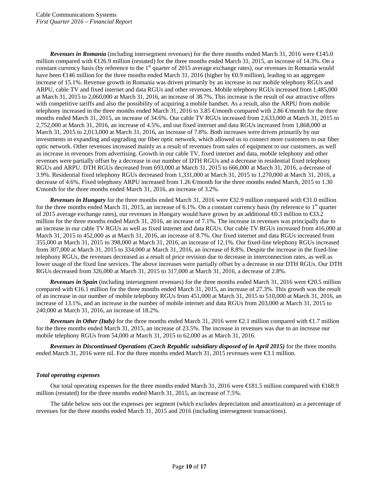*Revenues in Romania* (including intersegment revenues) for the three months ended March 31, 2016 were €145.0 million compared with €126.9 million (restated) for the three months ended March 31, 2015, an increase of 14.3%. On a constant currency basis (by reference to the 1<sup>st</sup> quarter of 2015 average exchange rates), our revenues in Romania would have been €146 million for the three months ended March 31, 2016 (higher by €0.9 million), leading to an aggregate increase of 15.1%. Revenue growth in Romania was driven primarily by an increase in our mobile telephony RGUs and ARPU, cable TV and fixed internet and data RGUs and other revenues. Mobile telephony RGUs increased from 1,485,000 at March 31, 2015 to 2,060,000 at March 31, 2016, an increase of 38.7%. This increase is the result of our attractive offers with competitive tariffs and also the possibility of acquiring a mobile handset. As a result, also the ARPU from mobile telephony increased in the three months ended March 31, 2016 to 3.85  $\epsilon$ month compared with 2.86  $\epsilon$ month for the three months ended March 31, 2015, an increase of 34.6%. Our cable TV RGUs increased from 2,633,000 at March 31, 2015 to 2,752,000 at March 31, 2016, an increase of 4.5%, and our fixed internet and data RGUs increased from 1,868,000 at March 31, 2015 to 2,013,000 at March 31, 2016, an increase of 7.8%. Both increases were driven primarily by our investments in expanding and upgrading our fiber optic network, which allowed us to connect more customers to our fiber optic network. Other revenues increased mainly as a result of revenues from sales of equipment to our customers, as well as increase in revenues from advertising. Growth in our cable TV, fixed internet and data, mobile telephony and other revenues were partially offset by a decrease in our number of DTH RGUs and a decrease in residential fixed telephony RGUs and ARPU. DTH RGUs decreased from 693,000 at March 31, 2015 to 666,000 at March 31, 2016, a decrease of 3.9%. Residential fixed telephony RGUs decreased from 1,331,000 at March 31, 2015 to 1,270,000 at March 31, 2016, a decrease of 4.6%. Fixed telephony ARPU increased from 1.26 €month for the three months ended March, 2015 to 1.30  $\epsilon$  month for the three months ended March 31, 2016, an increase of 3.2%.

*Revenues in Hungary* for the three months ended March 31, 2016 were €32.9 million compared with €31.0 million for the three months ended March 31, 2015, an increase of 6.1%. On a constant currency basis (by reference to  $1<sup>st</sup>$  quarter of 2015 average exchange rates), our revenues in Hungary would have grown by an additional €0.3 million to €33.2 million for the three months ended March 31, 2016, an increase of 7.1%. The increase in revenues was principally due to an increase in our cable TV RGUs as well as fixed internet and data RGUs. Our cable TV RGUs increased from 416,000 at March 31, 2015 to 452,000 as at March 31, 2016, an increase of 8.7%. Our fixed internet and data RGUs increased from 355,000 at March 31, 2015 to 398,000 at March 31, 2016, an increase of 12.1%. Our fixed-line telephony RGUs increased from 307,000 at March 31, 2015 to 334,000 at March 31, 2016, an increase of 8.8%. Despite the increase in the fixed-line telephony RGUs, the revenues decreased as a result of price revision due to decrease in interconnection rates, as well as lower usage of the fixed line services. The above increases were partially offset by a decrease in our DTH RGUs. Our DTH RGUs decreased from 326,000 at March 31, 2015 to 317,000 at March 31, 2016, a decrease of 2.8%.

*Revenues in Spain* (including intersegment revenues) for the three months ended March 31, 2016 were  $\epsilon$ 20.5 million compared with  $\epsilon$ 16.1 million for the three months ended March 31, 2015, an increase of 27.3%. This growth was the result of an increase in our number of mobile telephony RGUs from 451,000 at March 31, 2015 to 510,000 at March 31, 2016, an increase of 13.1%, and an increase in the number of mobile internet and data RGUs from 203,000 at March 31, 2015 to 240,000 at March 31, 2016, an increase of 18.2%.

*Revenues in Other (Italy)* for the three months ended March 31, 2016 were €2.1 million compared with €1.7 million for the three months ended March 31, 2015, an increase of 23.5%. The increase in revenues was due to an increase our mobile telephony RGUs from 54,000 at March 31, 2015 to 62,000 as at March 31, 2016.

*Revenues in Discontinued Operations (Czech Republic subsidiary disposed of in April 2015)* for the three months ended March 31, 2016 were nil. For the three months ended March 31, 2015 revenues were €3.1 million.

# *Total operating expenses*

Our total operating expenses for the three months ended March 31, 2016 were €181.5 million compared with €168.9 million (restated) for the three months ended March 31, 2015, an increase of 7.5%.

The table below sets out the expenses per segment (which excludes depreciation and amortization) as a percentage of revenues for the three months ended March 31, 2015 and 2016 (including intersegment transactions).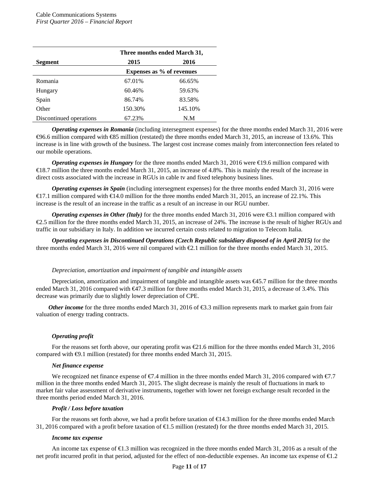|                         | Three months ended March 31,     |         |  |  |  |
|-------------------------|----------------------------------|---------|--|--|--|
| <b>Segment</b>          | 2015                             | 2016    |  |  |  |
|                         | <b>Expenses as % of revenues</b> |         |  |  |  |
| Romania                 | 67.01%                           | 66.65%  |  |  |  |
| Hungary                 | 60.46%                           | 59.63%  |  |  |  |
| Spain                   | 86.74%                           | 83.58%  |  |  |  |
| Other                   | 150.30%                          | 145.10% |  |  |  |
| Discontinued operations | 67.23%                           | N.M     |  |  |  |

*Operating expenses in Romania* (including intersegment expenses) for the three months ended March 31, 2016 were €96.6 million compared with €85 million (restated) the three months ended March 31, 2015, an increase of 13.6%. This increase is in line with growth of the business. The largest cost increase comes mainly from interconnection fees related to our mobile operations.

*Operating expenses in Hungary* for the three months ended March 31, 2016 were €19.6 million compared with €18.7 million the three months ended March 31, 2015, an increase of 4.8%. This is mainly the result of the increase in direct costs associated with the increase in RGUs in cable tv and fixed telephony business lines.

*Operating expenses in Spain* (including intersegment expenses) for the three months ended March 31, 2016 were €17.1 million compared with €14.0 million for the three months ended March 31, 2015, an increase of 22.1%. This increase is the result of an increase in the traffic as a result of an increase in our RGU number.

*Operating expenses in Other (Italy)* for the three months ended March 31, 2016 were €3.1 million compared with €2.5 million for the three months ended March 31, 2015, an increase of 24%. The increase is the result of higher RGUs and traffic in our subsidiary in Italy. In addition we incurred certain costs related to migration to Telecom Italia.

*Operating expenses in Discontinued Operations (Czech Republic subsidiary disposed of in April 2015)* for the three months ended March 31, 2016 were nil compared with €2.1 million for the three months ended March 31, 2015.

#### *Depreciation, amortization and impairment of tangible and intangible assets*

Depreciation, amortization and impairment of tangible and intangible assets was €45.7 million for the three months ended March 31, 2016 compared with €47.3 million for three months ended March 31, 2015, a decrease of 3.4%. This decrease was primarily due to slightly lower depreciation of CPE.

*Other income* for the three months ended March 31, 2016 of €3.3 million represents mark to market gain from fair valuation of energy trading contracts.

#### *Operating profit*

For the reasons set forth above, our operating profit was €21.6 million for the three months ended March 31, 2016 compared with €9.1 million (restated) for three months ended March 31, 2015.

#### *Net finance expense*

We recognized net finance expense of €7.4 million in the three months ended March 31, 2016 compared with €7.7 million in the three months ended March 31, 2015. The slight decrease is mainly the result of fluctuations in mark to market fair value assessment of derivative instruments, together with lower net foreign exchange result recorded in the three months period ended March 31, 2016.

# *Profit / Loss before taxation*

For the reasons set forth above, we had a profit before taxation of  $\epsilon 44.3$  million for the three months ended March 31, 2016 compared with a profit before taxation of €1.5 million (restated) for the three months ended March 31, 2015.

#### *Income tax expense*

An income tax expense of  $\bigoplus$ .3 million was recognized in the three months ended March 31, 2016 as a result of the net profit incurred profit in that period, adjusted for the effect of non-deductible expenses. An income tax expense of €1.2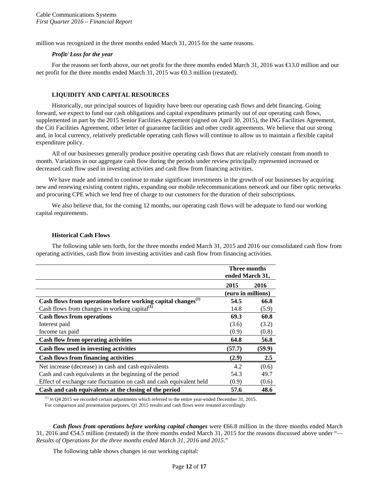million was recognized in the three months ended March 31, 2015 for the same reasons.

#### *Profit/ Loss for the year*

For the reasons set forth above, our net profit for the three months ended March 31, 2016 was €13.0 million and our net profit for the three months ended March 31, 2015 was €0.3 million (restated).

# **LIQUIDITY AND CAPITAL RESOURCES**

Historically, our principal sources of liquidity have been our operating cash flows and debt financing. Going forward, we expect to fund our cash obligations and capital expenditures primarily out of our operating cash flows, supplemented in part by the 2015 Senior Facilities Agreement (signed on April 30, 2015), the ING Facilities Agreement, the Citi Facilities Agreement, other letter of guarantee facilities and other credit agreements. We believe that our strong and, in local currency, relatively predictable operating cash flows will continue to allow us to maintain a flexible capital expenditure policy.

All of our businesses generally produce positive operating cash flows that are relatively constant from month to month. Variations in our aggregate cash flow during the periods under review principally represented increased or decreased cash flow used in investing activities and cash flow from financing activities.

We have made and intend to continue to make significant investments in the growth of our businesses by acquiring new and renewing existing content rights, expanding our mobile telecommunications network and our fiber optic networks and procuring CPE which we lend free of charge to our customers for the duration of their subscriptions.

We also believe that, for the coming 12 months, our operating cash flows will be adequate to fund our working capital requirements.

#### **Historical Cash Flows**

The following table sets forth, for the three months ended March 31, 2015 and 2016 our consolidated cash flow from operating activities, cash flow from investing activities and cash flow from financing activities.

|                                                                          | Three months<br>ended March 31, |        |  |
|--------------------------------------------------------------------------|---------------------------------|--------|--|
|                                                                          | 2015                            | 2016   |  |
|                                                                          | (euro in millions)              |        |  |
| Cash flows from operations before working capital changes <sup>(1)</sup> | 54.5                            | 66.8   |  |
| Cash flows from changes in working capital $^{(1)}$                      | 14.8                            | (5.9)  |  |
| <b>Cash flows from operations</b>                                        | 69.3                            | 60.8   |  |
| Interest paid                                                            | (3.6)                           | (3.2)  |  |
| Income tax paid                                                          | (0.9)                           | (0.8)  |  |
| <b>Cash flow from operating activities</b>                               | 64.8                            | 56.8   |  |
| Cash flow used in investing activities                                   | (57.7)                          | (59.9) |  |
| <b>Cash flows from financing activities</b>                              | (2.9)                           | 2.5    |  |
| Net increase (decrease) in cash and cash equivalents                     | 4.2                             | (0.6)  |  |
| Cash and cash equivalents at the beginning of the period                 | 54.3                            | 49.7   |  |
| Effect of exchange rate fluctuation on cash and cash equivalent held     | (0.9)                           | (0.6)  |  |
| Cash and cash equivalents at the closing of the period                   | 57.6                            | 48.6   |  |

 $<sup>(1)</sup>$  In Q4 2015 we recorded certain adjustments which referred to the entire year-ended December 31, 2015.</sup> For comparison and presentation purposes, Q1 2015 results and cash flows were restated accordingly.

*Cash flows from operations before working capital changes* were €66.8 million in the three months ended March 31, 2016 and €54.5 million (restated) in the three months ended March 31, 2015 for the reasons discussed above under "*— Results of Operations for the three months ended March 31, 2016 and 2015.*"

The following table shows changes in our working capital: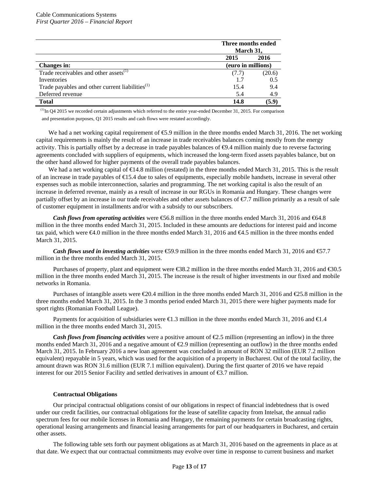|                                                             | Three months ended<br>March 31, |        |
|-------------------------------------------------------------|---------------------------------|--------|
|                                                             | 2015                            | 2016   |
| <b>Changes in:</b>                                          | (euro in millions)              |        |
| Trade receivables and other assets <sup>(1)</sup>           | (7.7)                           | (20.6) |
| Inventories                                                 | 1.7                             | 0.5    |
| Trade payables and other current liabilities <sup>(1)</sup> | 15.4                            | 9.4    |
| Deferred revenue                                            | 5.4                             | 4.9    |
| <b>Total</b>                                                | 14.8                            | (5.9)  |

 $^{(1)}$ In Q4 2015 we recorded certain adjustments which referred to the entire year-ended December 31, 2015. For comparison and presentation purposes, Q1 2015 results and cash flows were restated accordingly.

We had a net working capital requirement of €5.9 million in the three months ended March 31, 2016. The net working capital requirements is mainly the result of an increase in trade receivables balances coming mostly from the energy activity. This is partially offset by a decrease in trade payables balances of  $\Theta$ .4 million mainly due to reverse factoring agreements concluded with suppliers of equipments, which increased the long-term fixed assets payables balance, but on the other hand allowed for higher payments of the overall trade payables balances.

We had a net working capital of  $\bigoplus$  4.8 million (restated) in the three months ended March 31, 2015. This is the result of an increase in trade payables of  $\bigoplus$ 5.4 due to sales of equipments, especially mobile handsets, increase in several other expenses such as mobile interconnection, salaries and programming. The net working capital is also the result of an increase in deferred revenue, mainly as a result of increase in our RGUs in Romania and Hungary. These changes were partially offset by an increase in our trade receivables and other assets balances of €7.7 million primarily as a result of sale of customer equipment in installments and/or with a subsidy to our subscribers.

*Cash flows from operating activities* were €6.8 million in the three months ended March 31, 2016 and €64.8 million in the three months ended March 31, 2015. Included in these amounts are deductions for interest paid and income tax paid, which were €4.0 million in the three months ended March 31, 2016 and €4.5 million in the three months ended March 31, 2015.

*Cash flows used in investing activities* were €59.9 million in the three months ended March 31, 2016 and €7.7 million in the three months ended March 31, 2015.

Purchases of property, plant and equipment were  $\text{\textsterling}8.2$  million in the three months ended March 31, 2016 and  $\text{\textsterling}0.5$ million in the three months ended March 31, 2015. The increase is the result of higher investments in our fixed and mobile networks in Romania.

Purchases of intangible assets were  $\text{\textsterling}0.4$  million in the three months ended March 31, 2016 and  $\text{\textsterling}5.8$  million in the three months ended March 31, 2015. In the 3 months period ended March 31, 2015 there were higher payments made for sport rights (Romanian Football League).

Payments for acquisition of subsidiaries were €1.3 million in the three months ended March 31, 2016 and €1.4 million in the three months ended March 31, 2015.

*Cash flows from financing activities* were a positive amount of €2.5 million (representing an inflow) in the three months ended March 31, 2016 and a negative amount of €2.9 million (representing an outflow) in the three months ended March 31, 2015. In February 2016 a new loan agreement was concluded in amount of RON 32 million (EUR 7.2 million equivalent) repayable in 5 years, which was used for the acquisition of a property in Bucharest. Out of the total facility, the amount drawn was RON 31.6 million (EUR 7.1 million equivalent). During the first quarter of 2016 we have repaid interest for our 2015 Senior Facility and settled derivatives in amount of €3.7 million.

#### **Contractual Obligations**

Our principal contractual obligations consist of our obligations in respect of financial indebtedness that is owed under our credit facilities, our contractual obligations for the lease of satellite capacity from Intelsat, the annual radio spectrum fees for our mobile licenses in Romania and Hungary, the remaining payments for certain broadcasting rights, operational leasing arrangements and financial leasing arrangements for part of our headquarters in Bucharest, and certain other assets.

The following table sets forth our payment obligations as at March 31, 2016 based on the agreements in place as at that date. We expect that our contractual commitments may evolve over time in response to current business and market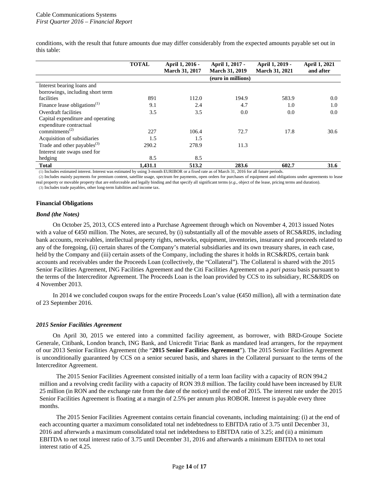conditions, with the result that future amounts due may differ considerably from the expected amounts payable set out in this table:

|                                         | <b>TOTAL</b> | April 1, 2016 -<br><b>March 31, 2017</b> | April 1, 2017 -<br><b>March 31, 2019</b> | April 1, 2019 -<br><b>March 31, 2021</b> | <b>April 1, 2021</b><br>and after |
|-----------------------------------------|--------------|------------------------------------------|------------------------------------------|------------------------------------------|-----------------------------------|
|                                         |              |                                          | (euro in millions)                       |                                          |                                   |
| Interest bearing loans and              |              |                                          |                                          |                                          |                                   |
| borrowings, including short term        |              |                                          |                                          |                                          |                                   |
| facilities                              | 891          | 112.0                                    | 194.9                                    | 583.9                                    | 0.0                               |
| Finance lease obligations $^{(1)}$      | 9.1          | 2.4                                      | 4.7                                      | 1.0                                      | 1.0                               |
| Overdraft facilities                    | 3.5          | 3.5                                      | 0.0                                      | 0.0                                      | 0.0                               |
| Capital expenditure and operating       |              |                                          |                                          |                                          |                                   |
| expenditure contractual                 |              |                                          |                                          |                                          |                                   |
| commitments <sup><math>(2)</math></sup> | 227          | 106.4                                    | 72.7                                     | 17.8                                     | 30.6                              |
| Acquisition of subsidiaries             | 1.5          | 1.5                                      |                                          |                                          |                                   |
| Trade and other payables <sup>(3)</sup> | 290.2        | 278.9                                    | 11.3                                     |                                          |                                   |
| Interest rate swaps used for            |              |                                          |                                          |                                          |                                   |
| hedging                                 | 8.5          | 8.5                                      |                                          |                                          |                                   |
| <b>Total</b>                            | 1.431.1      | 513.2                                    | 283.6                                    | 602.7                                    | 31.6                              |

(1) Includes estimated interest. Interest was estimated by using 3-month EURIBOR or a fixed rate as of March 31, 2016 for all future periods.

(2) Includes mainly payments for premium content, satellite usage, spectrum fee payments, open orders for purchases of equipment and obligations under agreements to lease real property or movable property that are enforceable and legally binding and that specify all significant terms (*e.g.*, object of the lease, pricing terms and duration). (3) Includes trade payables, other long-term liabilities and income tax.

#### **Financial Obligations**

#### *Bond (the Notes)*

On October 25, 2013, CCS entered into a Purchase Agreement through which on November 4, 2013 issued Notes with a value of €450 million. The Notes, are secured, by (i) substantially all of the movable assets of RCS&RDS, including bank accounts, receivables, intellectual property rights, networks, equipment, inventories, insurance and proceeds related to any of the foregoing, (ii) certain shares of the Company's material subsidiaries and its own treasury shares, in each case, held by the Company and (iii) certain assets of the Company, including the shares it holds in RCS&RDS, certain bank accounts and receivables under the Proceeds Loan (collectively, the "Collateral"). The Collateral is shared with the 2015 Senior Facilities Agreement, ING Facilities Agreement and the Citi Facilities Agreement on a *pari passu* basis pursuant to the terms of the Intercreditor Agreement. The Proceeds Loan is the loan provided by CCS to its subsidiary, RCS&RDS on 4 November 2013.

In 2014 we concluded coupon swaps for the entire Proceeds Loan's value (€450 million), all with a termination date of 23 September 2016.

#### *2015 Senior Facilities Agreement*

On April 30, 2015 we entered into a committed facility agreement, as borrower, with BRD-Groupe Societe Generale, Citibank, London branch, ING Bank, and Unicredit Tiriac Bank as mandated lead arrangers, for the repayment of our 2013 Senior Facilities Agreement (the "**2015 Senior Facilities Agreement**"). The 2015 Senior Facilities Agreement is unconditionally guaranteed by CCS on a senior secured basis, and shares in the Collateral pursuant to the terms of the Intercreditor Agreement.

The 2015 Senior Facilities Agreement consisted initially of a term loan facility with a capacity of RON 994.2 million and a revolving credit facility with a capacity of RON 39.8 million. The facility could have been increased by EUR 25 million (in RON and the exchange rate from the date of the notice) until the end of 2015. The interest rate under the 2015 Senior Facilities Agreement is floating at a margin of 2.5% per annum plus ROBOR. Interest is payable every three months.

The 2015 Senior Facilities Agreement contains certain financial covenants, including maintaining: (i) at the end of each accounting quarter a maximum consolidated total net indebtedness to EBITDA ratio of 3.75 until December 31, 2016 and afterwards a maximum consolidated total net indebtedness to EBITDA ratio of 3.25; and (ii) a minimum EBITDA to net total interest ratio of 3.75 until December 31, 2016 and afterwards a minimum EBITDA to net total interest ratio of 4.25.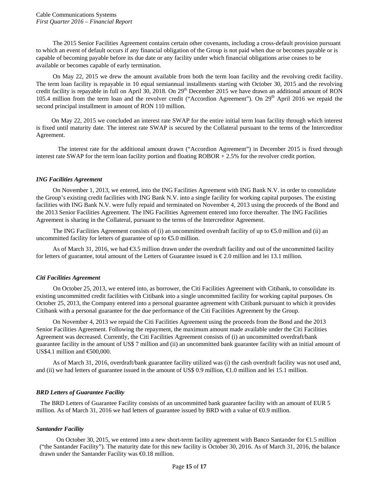The 2015 Senior Facilities Agreement contains certain other covenants, including a cross-default provision pursuant to which an event of default occurs if any financial obligation of the Group is not paid when due or becomes payable or is capable of becoming payable before its due date or any facility under which financial obligations arise ceases to be available or becomes capable of early termination.

On May 22, 2015 we drew the amount available from both the term loan facility and the revolving credit facility. The term loan facility is repayable in 10 equal semiannual installments starting with October 30, 2015 and the revolving credit facility is repayable in full on April 30, 2018. On 29<sup>th</sup> December 2015 we have drawn an additional amount of RON 105.4 million from the term loan and the revolver credit ("Accordion Agreement"). On 29<sup>th</sup> April 2016 we repaid the second principal installment in amount of RON 110 million.

 On May 22, 2015 we concluded an interest rate SWAP for the entire initial term loan facility through which interest is fixed until maturity date. The interest rate SWAP is secured by the Collateral pursuant to the terms of the Intercreditor Agreement.

 The interest rate for the additional amount drawn ("Accordion Agreement") in December 2015 is fixed through interest rate SWAP for the term loan facility portion and floating ROBOR + 2.5% for the revolver credit portion.

#### *ING Facilities Agreement*

On November 1, 2013, we entered, into the ING Facilities Agreement with ING Bank N.V. in order to consolidate the Group's existing credit facilities with ING Bank N.V. into a single facility for working capital purposes. The existing facilities with ING Bank N.V. were fully repaid and terminated on November 4, 2013 using the proceeds of the Bond and the 2013 Senior Facilities Agreement. The ING Facilities Agreement entered into force thereafter. The ING Facilities Agreement is sharing in the Collateral, pursuant to the terms of the Intercreditor Agreement.

The ING Facilities Agreement consists of (i) an uncommitted overdraft facility of up to  $\epsilon$ 5.0 million and (ii) an uncommitted facility for letters of guarantee of up to  $\epsilon$ 5.0 million.

As of March 31, 2016, we had €3.5 million drawn under the overdraft facility and out of the uncommitted facility for letters of guarantee, total amount of the Letters of Guarantee issued is  $\epsilon$ 2.0 million and lei 13.1 million.

# *Citi Facilities Agreement*

On October 25, 2013, we entered into, as borrower, the Citi Facilities Agreement with Citibank, to consolidate its existing uncommitted credit facilities with Citibank into a single uncommitted facility for working capital purposes. On October 25, 2013, the Company entered into a personal guarantee agreement with Citibank pursuant to which it provides Citibank with a personal guarantee for the due performance of the Citi Facilities Agreement by the Group.

On November 4, 2013 we repaid the Citi Facilities Agreement using the proceeds from the Bond and the 2013 Senior Facilities Agreement. Following the repayment, the maximum amount made available under the Citi Facilities Agreement was decreased. Currently, the Citi Facilities Agreement consists of (i) an uncommitted overdraft/bank guarantee facility in the amount of US\$ 7 million and (ii) an uncommitted bank guarantee facility with an initial amount of US\$4.1 million and  $\epsilon$ 500,000.

As of March 31, 2016, overdraft/bank guarantee facility utilized was (i) the cash overdraft facility was not used and, and (ii) we had letters of guarantee issued in the amount of US\$ 0.9 million, €1.0 million and lei 15.1 million.

# *BRD Letters of Guarantee Facility*

The BRD Letters of Guarantee Facility consists of an uncommitted bank guarantee facility with an amount of EUR 5 million. As of March 31, 2016 we had letters of guarantee issued by BRD with a value of €0.9 million.

#### *Santander Facility*

On October 30, 2015, we entered into a new short-term facility agreement with Banco Santander for €1.5 million ("the Santander Facility"). The maturity date for this new facility is October 30, 2016. As of March 31, 2016, the balance drawn under the Santander Facility was €0.18 million.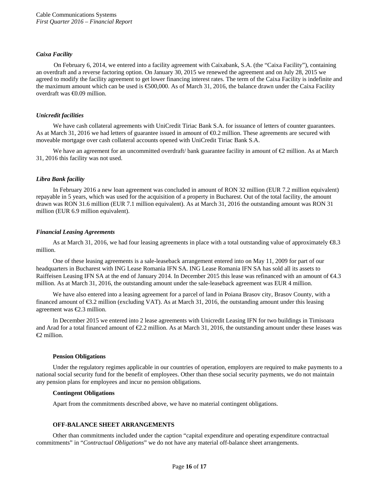#### *Caixa Facility*

On February 6, 2014, we entered into a facility agreement with Caixabank, S.A. (the "Caixa Facility"), containing an overdraft and a reverse factoring option. On January 30, 2015 we renewed the agreement and on July 28, 2015 we agreed to modify the facility agreement to get lower financing interest rates. The term of the Caixa Facility is indefinite and the maximum amount which can be used is €500,000. As of March 31, 2016, the balance drawn under the Caixa Facility overdraft was €0.09 million.

# *Unicredit facilities*

We have cash collateral agreements with UniCredit Tiriac Bank S.A. for issuance of letters of counter guarantees. As at March 31, 2016 we had letters of guarantee issued in amount of €0.2 million. These agreements are secured with moveable mortgage over cash collateral accounts opened with UniCredit Tiriac Bank S.A.

We have an agreement for an uncommitted overdraft/ bank guarantee facility in amount of  $\epsilon$  million. As at March 31, 2016 this facility was not used.

# *Libra Bank facility*

In February 2016 a new loan agreement was concluded in amount of RON 32 million (EUR 7.2 million equivalent) repayable in 5 years, which was used for the acquisition of a property in Bucharest. Out of the total facility, the amount drawn was RON 31.6 million (EUR 7.1 million equivalent). As at March 31, 2016 the outstanding amount was RON 31 million (EUR 6.9 million equivalent).

## *Financial Leasing Agreements*

As at March 31, 2016, we had four leasing agreements in place with a total outstanding value of approximately  $\mathcal{R}3$ . million.

One of these leasing agreements is a sale-leaseback arrangement entered into on May 11, 2009 for part of our headquarters in Bucharest with ING Lease Romania IFN SA. ING Lease Romania IFN SA has sold all its assets to Raiffeisen Leasing IFN SA at the end of January 2014. In December 2015 this lease was refinanced with an amount of €4.3 million. As at March 31, 2016, the outstanding amount under the sale-leaseback agreement was EUR 4 million.

We have also entered into a leasing agreement for a parcel of land in Poiana Brasov city, Brasov County, with a financed amount of €3.2 million (excluding VAT). As at March 31, 2016, the outstanding amount under this leasing agreement was €2.3 million.

In December 2015 we entered into 2 lease agreements with Unicredit Leasing IFN for two buildings in Timisoara and Arad for a total financed amount of  $\epsilon 2.2$  million. As at March 31, 2016, the outstanding amount under these leases was  $\epsilon$ 2 million.

#### **Pension Obligations**

Under the regulatory regimes applicable in our countries of operation, employers are required to make payments to a national social security fund for the benefit of employees. Other than these social security payments, we do not maintain any pension plans for employees and incur no pension obligations.

#### **Contingent Obligations**

Apart from the commitments described above, we have no material contingent obligations.

#### **OFF-BALANCE SHEET ARRANGEMENTS**

Other than commitments included under the caption "capital expenditure and operating expenditure contractual commitments" in "*Contractual Obligations*" we do not have any material off-balance sheet arrangements.